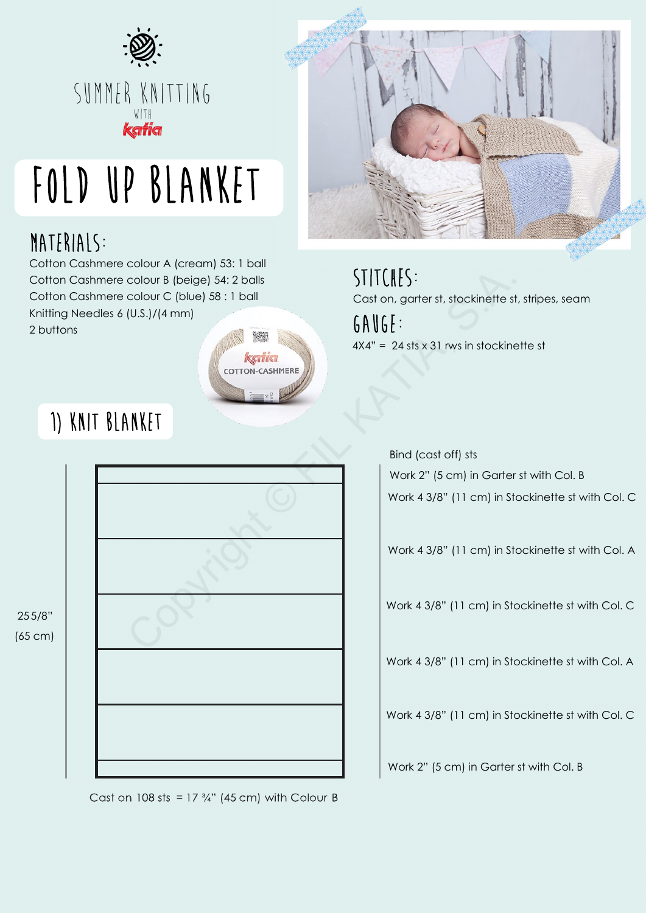

# Fold up blanket

## MATERIALS:

Cotton Cashmere colour A (cream) 53: 1 ball Cotton Cashmere colour B (beige) 54: 2 balls Cotton Cashmere colour C (blue) 58 : 1 ball Knitting Needles 6 (U.S.)/(4 mm) 2 buttons

1) knit blanket





stitches: GAUGE: Cast on, garter st, stockinette st, stripes, seam  $4X4" = 24$  sts x 31 rws in stockinette st



Cast on 108 sts =  $17\frac{3}{4}$ " (45 cm) with Colour B

Work 2" (5 cm) in Garter st with Col. B Bind (cast off) sts

Work 4 3/8" (11 cm) in Stockinette st with Col. C

Work 4 3/8" (11 cm) in Stockinette st with Col. A

Work 4 3/8" (11 cm) in Stockinette st with Col. C

Work 4 3/8" (11 cm) in Stockinette st with Col. A

Work 4 3/8" (11 cm) in Stockinette st with Col. C

Work 2" (5 cm) in Garter st with Col. B

255/8" (65 cm)